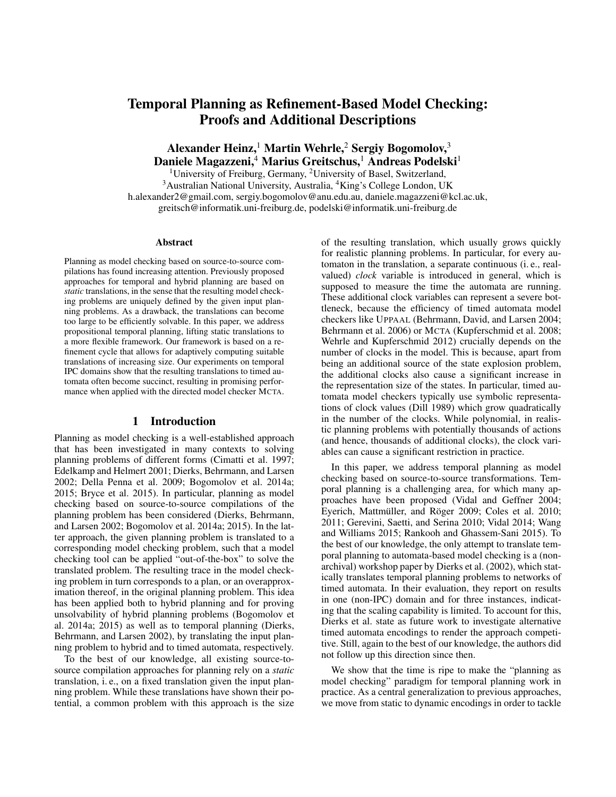# Temporal Planning as Refinement-Based Model Checking: Proofs and Additional Descriptions

Alexander Heinz,<sup>1</sup> Martin Wehrle,<sup>2</sup> Sergiy Bogomolov,<sup>3</sup> Daniele Magazzeni,<sup>4</sup> Marius Greitschus,<sup>1</sup> Andreas Podelski<sup>1</sup>

<sup>1</sup>University of Freiburg, Germany, <sup>2</sup>University of Basel, Switzerland, <sup>3</sup>Australian National University, Australia, <sup>4</sup>King's College London, UK h.alexander2@gmail.com, sergiy.bogomolov@anu.edu.au, daniele.magazzeni@kcl.ac.uk, greitsch@informatik.uni-freiburg.de, podelski@informatik.uni-freiburg.de

#### Abstract

Planning as model checking based on source-to-source compilations has found increasing attention. Previously proposed approaches for temporal and hybrid planning are based on *static* translations, in the sense that the resulting model checking problems are uniquely defined by the given input planning problems. As a drawback, the translations can become too large to be efficiently solvable. In this paper, we address propositional temporal planning, lifting static translations to a more flexible framework. Our framework is based on a refinement cycle that allows for adaptively computing suitable translations of increasing size. Our experiments on temporal IPC domains show that the resulting translations to timed automata often become succinct, resulting in promising performance when applied with the directed model checker MCTA.

### 1 Introduction

Planning as model checking is a well-established approach that has been investigated in many contexts to solving planning problems of different forms (Cimatti et al. 1997; Edelkamp and Helmert 2001; Dierks, Behrmann, and Larsen 2002; Della Penna et al. 2009; Bogomolov et al. 2014a; 2015; Bryce et al. 2015). In particular, planning as model checking based on source-to-source compilations of the planning problem has been considered (Dierks, Behrmann, and Larsen 2002; Bogomolov et al. 2014a; 2015). In the latter approach, the given planning problem is translated to a corresponding model checking problem, such that a model checking tool can be applied "out-of-the-box" to solve the translated problem. The resulting trace in the model checking problem in turn corresponds to a plan, or an overapproximation thereof, in the original planning problem. This idea has been applied both to hybrid planning and for proving unsolvability of hybrid planning problems (Bogomolov et al. 2014a; 2015) as well as to temporal planning (Dierks, Behrmann, and Larsen 2002), by translating the input planning problem to hybrid and to timed automata, respectively.

To the best of our knowledge, all existing source-tosource compilation approaches for planning rely on a *static* translation, i. e., on a fixed translation given the input planning problem. While these translations have shown their potential, a common problem with this approach is the size

of the resulting translation, which usually grows quickly for realistic planning problems. In particular, for every automaton in the translation, a separate continuous (i. e., realvalued) *clock* variable is introduced in general, which is supposed to measure the time the automata are running. These additional clock variables can represent a severe bottleneck, because the efficiency of timed automata model checkers like UPPAAL (Behrmann, David, and Larsen 2004; Behrmann et al. 2006) or MCTA (Kupferschmid et al. 2008; Wehrle and Kupferschmid 2012) crucially depends on the number of clocks in the model. This is because, apart from being an additional source of the state explosion problem, the additional clocks also cause a significant increase in the representation size of the states. In particular, timed automata model checkers typically use symbolic representations of clock values (Dill 1989) which grow quadratically in the number of the clocks. While polynomial, in realistic planning problems with potentially thousands of actions (and hence, thousands of additional clocks), the clock variables can cause a significant restriction in practice.

In this paper, we address temporal planning as model checking based on source-to-source transformations. Temporal planning is a challenging area, for which many approaches have been proposed (Vidal and Geffner 2004; Eyerich, Mattmüller, and Röger 2009; Coles et al. 2010; 2011; Gerevini, Saetti, and Serina 2010; Vidal 2014; Wang and Williams 2015; Rankooh and Ghassem-Sani 2015). To the best of our knowledge, the only attempt to translate temporal planning to automata-based model checking is a (nonarchival) workshop paper by Dierks et al. (2002), which statically translates temporal planning problems to networks of timed automata. In their evaluation, they report on results in one (non-IPC) domain and for three instances, indicating that the scaling capability is limited. To account for this, Dierks et al. state as future work to investigate alternative timed automata encodings to render the approach competitive. Still, again to the best of our knowledge, the authors did not follow up this direction since then.

We show that the time is ripe to make the "planning as model checking" paradigm for temporal planning work in practice. As a central generalization to previous approaches, we move from static to dynamic encodings in order to tackle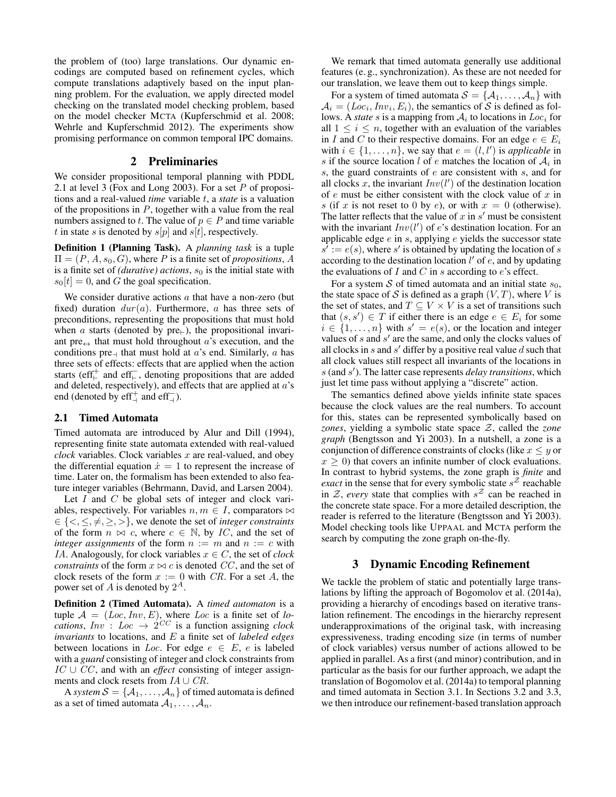the problem of (too) large translations. Our dynamic encodings are computed based on refinement cycles, which compute translations adaptively based on the input planning problem. For the evaluation, we apply directed model checking on the translated model checking problem, based on the model checker MCTA (Kupferschmid et al. 2008; Wehrle and Kupferschmid 2012). The experiments show promising performance on common temporal IPC domains.

#### 2 Preliminaries

We consider propositional temporal planning with PDDL 2.1 at level 3 (Fox and Long 2003). For a set P of propositions and a real-valued *time* variable t, a *state* is a valuation of the propositions in  $P$ , together with a value from the real numbers assigned to t. The value of  $p \in P$  and time variable t in state s is denoted by  $s[p]$  and  $s[t]$ , respectively.

Definition 1 (Planning Task). A *planning task* is a tuple  $\Pi = (P, A, s_0, G)$ , where P is a finite set of *propositions*, A is a finite set of *(durative)* actions,  $s_0$  is the initial state with  $s_0[t] = 0$ , and G the goal specification.

We consider durative actions  $a$  that have a non-zero (but fixed) duration  $dur(a)$ . Furthermore, a has three sets of preconditions, representing the propositions that must hold when a starts (denoted by  $pre_{\vdash}$ ), the propositional invariant pre $\leftrightarrow$  that must hold throughout a's execution, and the conditions pre- that must hold at a's end. Similarly, a has three sets of effects: effects that are applied when the action starts (eff<sup>+</sup> and eff<sup>-</sup>, denoting propositions that are added and deleted, respectively), and effects that are applied at  $a$ 's end (denoted by  $\text{eff}^+_1$  and  $\text{eff}^-_1$ ).

#### 2.1 Timed Automata

Timed automata are introduced by Alur and Dill (1994), representing finite state automata extended with real-valued  $clock$  variables. Clock variables  $x$  are real-valued, and obey the differential equation  $\dot{x} = 1$  to represent the increase of time. Later on, the formalism has been extended to also feature integer variables (Behrmann, David, and Larsen 2004).

Let  $I$  and  $C$  be global sets of integer and clock variables, respectively. For variables  $n, m \in I$ , comparators  $\bowtie$  $\in \{ \leq, \leq, \neq, \geq, \geq \},$  we denote the set of *integer constraints* of the form  $n \bowtie c$ , where  $c \in \mathbb{N}$ , by IC, and the set of *integer assignments* of the form  $n := m$  and  $n := c$  with IA. Analogously, for clock variables  $x \in C$ , the set of *clock constraints* of the form  $x \bowtie c$  is denoted CC, and the set of clock resets of the form  $x := 0$  with CR. For a set A, the power set of A is denoted by  $2^A$ .

Definition 2 (Timed Automata). A *timed automaton* is a tuple  $A = (Loc, Inv, E)$ , where *Loc* is a finite set of *locations*,  $Inv: Loc \rightarrow 2^{CC}$  is a function assigning *clock invariants* to locations, and E a finite set of *labeled edges* between locations in *Loc*. For edge  $e \in E$ , e is labeled with a *guard* consisting of integer and clock constraints from IC ∪ CC , and with an *effect* consisting of integer assignments and clock resets from  $IA \cup CR$ .

A *system*  $S = \{A_1, \ldots, A_n\}$  of timed automata is defined as a set of timed automata  $A_1, \ldots, A_n$ .

We remark that timed automata generally use additional features (e. g., synchronization). As these are not needed for our translation, we leave them out to keep things simple.

For a system of timed automata  $S = \{A_1, \ldots, A_n\}$  with  $A_i = (Loc_i, Inv_i, E_i)$ , the semantics of S is defined as follows. A *state*  $s$  is a mapping from  $A_i$  to locations in  $Loc_i$  for all  $1 \leq i \leq n$ , together with an evaluation of the variables in I and C to their respective domains. For an edge  $e \in E_i$ with  $i \in \{1, \ldots, n\}$ , we say that  $e = (l, l')$  is *applicable* in s if the source location l of e matches the location of  $A_i$  in s, the guard constraints of  $e$  are consistent with s, and for all clocks x, the invariant  $Inv(l')$  of the destination location of  $e$  must be either consistent with the clock value of  $x$  in s (if x is not reset to 0 by e), or with  $x = 0$  (otherwise). The latter reflects that the value of  $x$  in  $s'$  must be consistent with the invariant  $Inv(l')$  of e's destination location. For an applicable edge  $e$  in  $s$ , applying  $e$  yields the successor state  $s' := e(s)$ , where s' is obtained by updating the location of s according to the destination location  $l'$  of  $\vec{e}$ , and by updating the evaluations of  $I$  and  $C$  in  $s$  according to  $e$ 's effect.

For a system S of timed automata and an initial state  $s_0$ , the state space of S is defined as a graph  $(V, T)$ , where V is the set of states, and  $T \subseteq V \times V$  is a set of transitions such that  $(s, s') \in T$  if either there is an edge  $e \in E_i$  for some  $i \in \{1, \ldots, n\}$  with  $s' = e(s)$ , or the location and integer values of  $s$  and  $s'$  are the same, and only the clocks values of all clocks in  $s$  and  $s'$  differ by a positive real value  $d$  such that all clock values still respect all invariants of the locations in s (and s 0 ). The latter case represents *delay transitions*, which just let time pass without applying a "discrete" action.

The semantics defined above yields infinite state spaces because the clock values are the real numbers. To account for this, states can be represented symbolically based on *zones*, yielding a symbolic state space Z, called the *zone graph* (Bengtsson and Yi 2003). In a nutshell, a zone is a conjunction of difference constraints of clocks (like  $x \leq y$  or  $x \geq 0$ ) that covers an infinite number of clock evaluations. In contrast to hybrid systems, the zone graph is *finite* and *exact* in the sense that for every symbolic state  $s^z$  reachable in  $Z$ , *every* state that complies with  $s^Z$  can be reached in the concrete state space. For a more detailed description, the reader is referred to the literature (Bengtsson and Yi 2003). Model checking tools like UPPAAL and MCTA perform the search by computing the zone graph on-the-fly.

## 3 Dynamic Encoding Refinement

We tackle the problem of static and potentially large translations by lifting the approach of Bogomolov et al. (2014a), providing a hierarchy of encodings based on iterative translation refinement. The encodings in the hierarchy represent underapproximations of the original task, with increasing expressiveness, trading encoding size (in terms of number of clock variables) versus number of actions allowed to be applied in parallel. As a first (and minor) contribution, and in particular as the basis for our further approach, we adapt the translation of Bogomolov et al. (2014a) to temporal planning and timed automata in Section 3.1. In Sections 3.2 and 3.3, we then introduce our refinement-based translation approach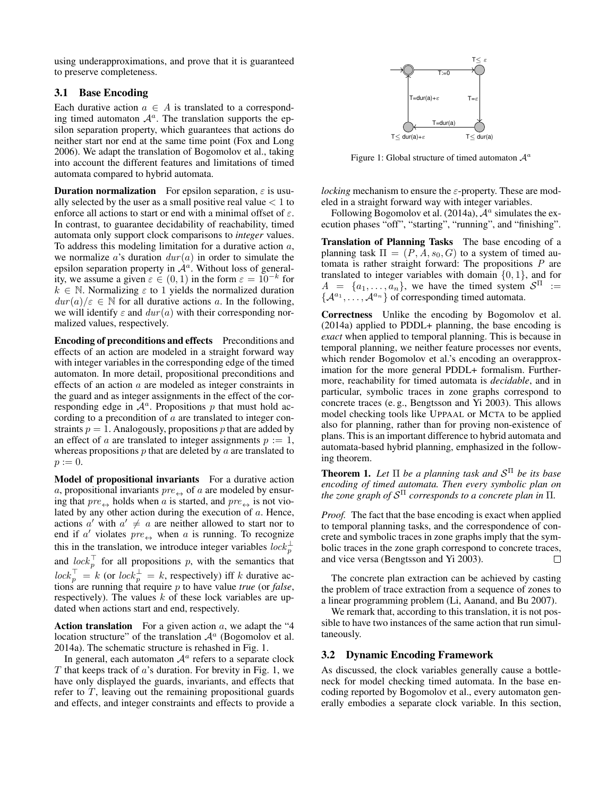using underapproximations, and prove that it is guaranteed to preserve completeness.

# 3.1 Base Encoding

Each durative action  $a \in A$  is translated to a corresponding timed automaton  $A^a$ . The translation supports the epsilon separation property, which guarantees that actions do neither start nor end at the same time point (Fox and Long 2006). We adapt the translation of Bogomolov et al., taking into account the different features and limitations of timed automata compared to hybrid automata.

**Duration normalization** For epsilon separation,  $\varepsilon$  is usually selected by the user as a small positive real value  $< 1$  to enforce all actions to start or end with a minimal offset of  $\varepsilon$ . In contrast, to guarantee decidability of reachability, timed automata only support clock comparisons to *integer* values. To address this modeling limitation for a durative action  $a$ , we normalize a's duration  $dur(a)$  in order to simulate the epsilon separation property in  $A^a$ . Without loss of generality, we assume a given  $\varepsilon \in (0,1)$  in the form  $\varepsilon = 10^{-k}$  for  $k \in \mathbb{N}$ . Normalizing  $\varepsilon$  to 1 yields the normalized duration  $dur(a)/\varepsilon \in \mathbb{N}$  for all durative actions a. In the following, we will identify  $\varepsilon$  and  $dur(a)$  with their corresponding normalized values, respectively.

Encoding of preconditions and effects Preconditions and effects of an action are modeled in a straight forward way with integer variables in the corresponding edge of the timed automaton. In more detail, propositional preconditions and effects of an action a are modeled as integer constraints in the guard and as integer assignments in the effect of the corresponding edge in  $\mathcal{A}^a$ . Propositions p that must hold according to a precondition of  $a$  are translated to integer constraints  $p = 1$ . Analogously, propositions p that are added by an effect of a are translated to integer assignments  $p := 1$ , whereas propositions  $p$  that are deleted by  $a$  are translated to  $p := 0.$ 

Model of propositional invariants For a durative action a, propositional invariants  $pre_{\leftrightarrow}$  of a are modeled by ensuring that  $pre_{\leftrightarrow}$  holds when a is started, and  $pre_{\leftrightarrow}$  is not violated by any other action during the execution of a. Hence, actions  $a'$  with  $a' \neq a$  are neither allowed to start nor to end if a' violates  $pre \leftrightarrow$  when a is running. To recognize this in the translation, we introduce integer variables  $lock_p^{\perp}$ and  $lock_p^{\top}$  for all propositions p, with the semantics that  $lock_p^{\perp} = k$  (or  $lock_p^{\perp} = k$ , respectively) iff k durative actions are running that require p to have value *true* (or *false*, respectively). The values  $k$  of these lock variables are updated when actions start and end, respectively.

Action translation For a given action  $a$ , we adapt the "4 location structure" of the translation  $\mathcal{A}^a$  (Bogomolov et al. 2014a). The schematic structure is rehashed in Fig. 1.

In general, each automaton  $A^a$  refers to a separate clock  $T$  that keeps track of  $a$ 's duration. For brevity in Fig. 1, we have only displayed the guards, invariants, and effects that refer to  $T$ , leaving out the remaining propositional guards and effects, and integer constraints and effects to provide a



Figure 1: Global structure of timed automaton  $A^a$ 

*locking* mechanism to ensure the  $\varepsilon$ -property. These are modeled in a straight forward way with integer variables.

Following Bogomolov et al. (2014a),  $A^a$  simulates the execution phases "off", "starting", "running", and "finishing".

Translation of Planning Tasks The base encoding of a planning task  $\Pi = (P, A, s_0, G)$  to a system of timed automata is rather straight forward: The propositions P are translated to integer variables with domain  $\{0, 1\}$ , and for  $A = \{a_1, \ldots, a_n\}$ , we have the timed system  $S^{\Pi}$  :=  $\{A^{a_1}, \ldots, A^{a_n}\}$  of corresponding timed automata.

Correctness Unlike the encoding by Bogomolov et al. (2014a) applied to PDDL+ planning, the base encoding is *exact* when applied to temporal planning. This is because in temporal planning, we neither feature processes nor events, which render Bogomolov et al.'s encoding an overapproximation for the more general PDDL+ formalism. Furthermore, reachability for timed automata is *decidable*, and in particular, symbolic traces in zone graphs correspond to concrete traces (e. g., Bengtsson and Yi 2003). This allows model checking tools like UPPAAL or MCTA to be applied also for planning, rather than for proving non-existence of plans. This is an important difference to hybrid automata and automata-based hybrid planning, emphasized in the following theorem.

Theorem 1. *Let* Π *be a planning task and* S <sup>Π</sup> *be its base encoding of timed automata. Then every symbolic plan on the zone graph of* S <sup>Π</sup> *corresponds to a concrete plan in* Π*.*

*Proof.* The fact that the base encoding is exact when applied to temporal planning tasks, and the correspondence of concrete and symbolic traces in zone graphs imply that the symbolic traces in the zone graph correspond to concrete traces, and vice versa (Bengtsson and Yi 2003).  $\Box$ 

The concrete plan extraction can be achieved by casting the problem of trace extraction from a sequence of zones to a linear programming problem (Li, Aanand, and Bu 2007).

We remark that, according to this translation, it is not possible to have two instances of the same action that run simultaneously.

#### 3.2 Dynamic Encoding Framework

As discussed, the clock variables generally cause a bottleneck for model checking timed automata. In the base encoding reported by Bogomolov et al., every automaton generally embodies a separate clock variable. In this section,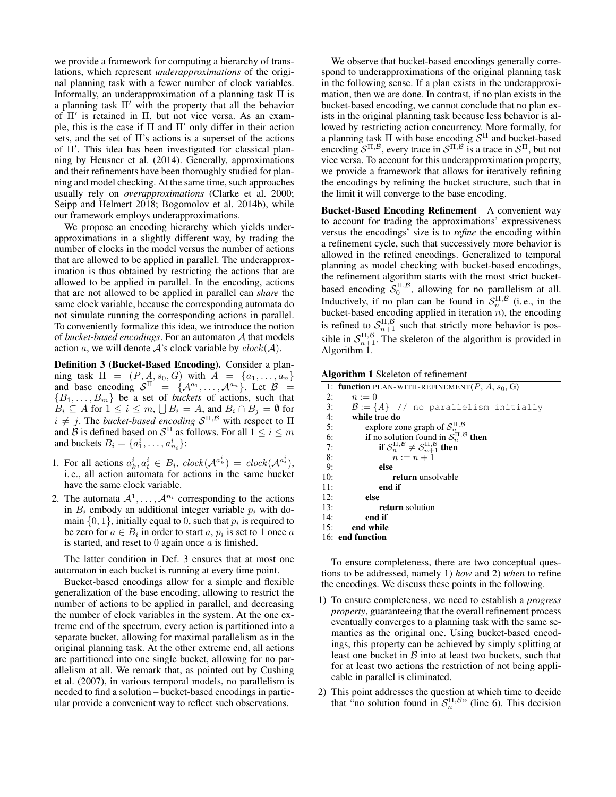we provide a framework for computing a hierarchy of translations, which represent *underapproximations* of the original planning task with a fewer number of clock variables. Informally, an underapproximation of a planning task Π is a planning task  $\Pi'$  with the property that all the behavior of Π' is retained in Π, but not vice versa. As an example, this is the case if  $\Pi$  and  $\Pi'$  only differ in their action sets, and the set of  $\Pi$ 's actions is a superset of the actions of Π'. This idea has been investigated for classical planning by Heusner et al. (2014). Generally, approximations and their refinements have been thoroughly studied for planning and model checking. At the same time, such approaches usually rely on *overapproximations* (Clarke et al. 2000; Seipp and Helmert 2018; Bogomolov et al. 2014b), while our framework employs underapproximations.

We propose an encoding hierarchy which yields underapproximations in a slightly different way, by trading the number of clocks in the model versus the number of actions that are allowed to be applied in parallel. The underapproximation is thus obtained by restricting the actions that are allowed to be applied in parallel. In the encoding, actions that are not allowed to be applied in parallel can *share* the same clock variable, because the corresponding automata do not simulate running the corresponding actions in parallel. To conveniently formalize this idea, we introduce the notion of *bucket-based encodings*. For an automaton A that models action a, we will denote A's clock variable by  $clock(\mathcal{A})$ .

Definition 3 (Bucket-Based Encoding). Consider a planning task  $\Pi = (P, A, s_0, G)$  with  $A = \{a_1, \ldots, a_n\}$ and base encoding  $S^{\Pi}$  = { $\mathcal{A}^{a_1}, \ldots, \mathcal{A}^{a_n}$ }. Let  $\mathcal{B}$  =  ${B_1, \ldots, B_m}$  be a set of *buckets* of actions, such that  $B_i \subseteq A$  for  $1 \leq i \leq m$ ,  $\bigcup B_i = A$ , and  $B_i \cap B_j = \emptyset$  for  $i \neq j$ . The *bucket-based encoding*  $S^{\Pi,\mathcal{B}}$  with respect to  $\Pi$ and  $\hat{B}$  is defined based on  $\mathcal{S}^{\Pi}$  as follows. For all  $1 \leq i \leq m$ and buckets  $B_i = \{a_1^i, \dots, a_{n_i}^i\}$ :

- 1. For all actions  $a_k^i, a_t^i \in B_i$ ,  $clock(\mathcal{A}^{a_k^i}) = clock(\mathcal{A}^{a_t^i})$ , i. e., all action automata for actions in the same bucket have the same clock variable.
- 2. The automata  $\mathcal{A}^1, \ldots, \mathcal{A}^{n_i}$  corresponding to the actions in  $B_i$  embody an additional integer variable  $p_i$  with domain  $\{0, 1\}$ , initially equal to 0, such that  $p_i$  is required to be zero for  $a \in B_i$  in order to start  $a, p_i$  is set to 1 once  $a$ is started, and reset to  $0$  again once  $a$  is finished.

The latter condition in Def. 3 ensures that at most one automaton in each bucket is running at every time point.

Bucket-based encodings allow for a simple and flexible generalization of the base encoding, allowing to restrict the number of actions to be applied in parallel, and decreasing the number of clock variables in the system. At the one extreme end of the spectrum, every action is partitioned into a separate bucket, allowing for maximal parallelism as in the original planning task. At the other extreme end, all actions are partitioned into one single bucket, allowing for no parallelism at all. We remark that, as pointed out by Cushing et al. (2007), in various temporal models, no parallelism is needed to find a solution – bucket-based encodings in particular provide a convenient way to reflect such observations.

We observe that bucket-based encodings generally correspond to underapproximations of the original planning task in the following sense. If a plan exists in the underapproximation, then we are done. In contrast, if no plan exists in the bucket-based encoding, we cannot conclude that no plan exists in the original planning task because less behavior is allowed by restricting action concurrency. More formally, for a planning task  $\Pi$  with base encoding  $S<sup>\Pi</sup>$  and bucket-based encoding  $S^{\Pi,\mathcal{B}}$ , every trace in  $S^{\Pi,\mathcal{B}}$  is a trace in  $S^{\Pi}$ , but not vice versa. To account for this underapproximation property, we provide a framework that allows for iteratively refining the encodings by refining the bucket structure, such that in the limit it will converge to the base encoding.

Bucket-Based Encoding Refinement A convenient way to account for trading the approximations' expressiveness versus the encodings' size is to *refine* the encoding within a refinement cycle, such that successively more behavior is allowed in the refined encodings. Generalized to temporal planning as model checking with bucket-based encodings, the refinement algorithm starts with the most strict bucketbased encoding  $S_0^{\Pi,\mathcal{B}}$ , allowing for no parallelism at all. Inductively, if no plan can be found in  $S_n^{\Pi,\mathcal{B}}$  (i.e., in the bucket-based encoding applied in iteration  $n$ ), the encoding is refined to  $S_{n+1}^{\Pi,\mathcal{B}}$  such that strictly more behavior is possible in  $S_{n+1}^{\Pi,\mathcal{B}}$ . The skeleton of the algorithm is provided in Algorithm 1.

Algorithm 1 Skeleton of refinement

|     | 1: function PLAN-WITH-REFINEMENT(P, A, $s_0$ , G)              |
|-----|----------------------------------------------------------------|
| 2:  | $n := 0$                                                       |
| 3:  | $\mathcal{B} := \{A\}$ // no parallelism initially             |
| 4:  | while true do                                                  |
| 5:  | explore zone graph of $\mathcal{S}_n^{\Pi,\mathcal{B}}$        |
| 6:  | <b>if</b> no solution found in $S_n^{\Pi, \mathcal{B}}$ then   |
| 7:  | if $S_n^{\Pi,\mathcal{B}} \neq S_{n+1}^{\Pi,\mathcal{B}}$ then |
| 8:  | $n:=n+1$                                                       |
| 9:  | else                                                           |
| 10: | return unsolvable                                              |
| 11: | end if                                                         |
| 12: | else                                                           |
| 13: | return solution                                                |
| 14: | end if                                                         |
|     | 15: end while                                                  |
|     | 16: end function                                               |

To ensure completeness, there are two conceptual questions to be addressed, namely 1) *how* and 2) *when* to refine the encodings. We discuss these points in the following.

- 1) To ensure completeness, we need to establish a *progress property*, guaranteeing that the overall refinement process eventually converges to a planning task with the same semantics as the original one. Using bucket-based encodings, this property can be achieved by simply splitting at least one bucket in  $\beta$  into at least two buckets, such that for at least two actions the restriction of not being applicable in parallel is eliminated.
- 2) This point addresses the question at which time to decide that "no solution found in  $S_n^{\Pi,\mathcal{B}}$ " (line 6). This decision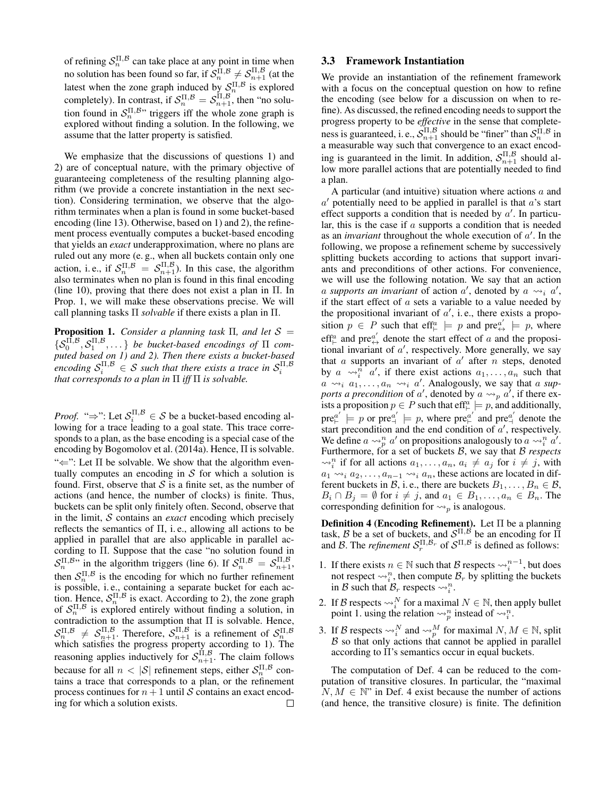of refining  $S_n^{\Pi,\mathcal{B}}$  can take place at any point in time when no solution has been found so far, if  $\mathcal{S}_n^{\Pi,\mathcal{B}} \neq \mathcal{S}_{n+1}^{\Pi,\mathcal{B}}$  (at the latest when the zone graph induced by  $S_n^{\Pi,\mathcal{B}}$  is explored completely). In contrast, if  $\mathcal{S}_n^{\Pi,\mathcal{B}} = \mathcal{S}_{n+1}^{\Pi,\mathcal{B}}$ , then "no solution found in  $S_n^{\Pi,\mathcal{B}}$ " triggers iff the whole zone graph is explored without finding a solution. In the following, we assume that the latter property is satisfied.

We emphasize that the discussions of questions 1) and 2) are of conceptual nature, with the primary objective of guaranteeing completeness of the resulting planning algorithm (we provide a concrete instantiation in the next section). Considering termination, we observe that the algorithm terminates when a plan is found in some bucket-based encoding (line 13). Otherwise, based on 1) and 2), the refinement process eventually computes a bucket-based encoding that yields an *exact* underapproximation, where no plans are ruled out any more (e. g., when all buckets contain only one action, i.e., if  $S_n^{\Pi,\mathcal{B}} = S_{n+1}^{\Pi,\mathcal{B}}$ . In this case, the algorithm also terminates when no plan is found in this final encoding (line 10), proving that there does not exist a plan in Π. In Prop. 1, we will make these observations precise. We will call planning tasks Π *solvable* if there exists a plan in Π.

**Proposition 1.** *Consider a planning task*  $\Pi$ *, and let*  $S =$  $\{S_0^{\Pi,B},S_1^{\Pi,B},\dots\}$  *be bucket-based encodings of*  $\Pi$  *computed based on 1) and 2). Then there exists a bucket-based* encoding  $\mathcal{S}_i^{\Pi,\mathcal{B}} \in \mathcal{S}$  such that there exists a trace in  $\mathcal{S}_i^{\Pi,\mathcal{B}}$ *that corresponds to a plan in*  $\Pi$  *iff*  $\Pi$  *is solvable.* 

*Proof.* " $\Rightarrow$ ": Let  $S_i^{\Pi, \mathcal{B}} \in \mathcal{S}$  be a bucket-based encoding allowing for a trace leading to a goal state. This trace corresponds to a plan, as the base encoding is a special case of the encoding by Bogomolov et al. (2014a). Hence, Π is solvable. " $\Leftarrow$ ": Let  $\Pi$  be solvable. We show that the algorithm eventually computes an encoding in  $S$  for which a solution is found. First, observe that  $S$  is a finite set, as the number of actions (and hence, the number of clocks) is finite. Thus, buckets can be split only finitely often. Second, observe that in the limit, S contains an *exact* encoding which precisely reflects the semantics of  $\Pi$ , i.e., allowing all actions to be applied in parallel that are also applicable in parallel according to Π. Suppose that the case "no solution found in  $S_n^{\Pi,\mathcal{B}}$  in the algorithm triggers (line 6). If  $S_n^{\Pi,\mathcal{B}} = S_{n+1}^{\Pi,\mathcal{B}}$ , then  $S_n^{\Pi,\mathcal{B}}$  is the encoding for which no further refinement is possible, i. e., containing a separate bucket for each action. Hence,  $S_n^{\Pi,\mathcal{B}}$  is exact. According to 2), the zone graph of  $S_n^{\Pi,\mathcal{B}}$  is explored entirely without finding a solution, in contradiction to the assumption that Π is solvable. Hence,  $S_n^{\Pi,\mathcal{B}} \neq S_{n+1}^{\Pi,\mathcal{B}}$ . Therefore,  $S_{n+1}^{\Pi,\mathcal{B}}$  is a refinement of  $S_n^{\Pi,\mathcal{B}}$  which satisfies the progress property according to 1). The reasoning applies inductively for  $\mathcal{S}_{n+1}^{\Pi,\mathcal{B}}$ . The claim follows because for all  $n < |\mathcal{S}|$  refinement steps, either  $\mathcal{S}_n^{\Pi, \mathcal{B}}$  contains a trace that corresponds to a plan, or the refinement process continues for  $n + 1$  until S contains an exact encoding for which a solution exists.  $\Box$ 

### 3.3 Framework Instantiation

We provide an instantiation of the refinement framework with a focus on the conceptual question on how to refine the encoding (see below for a discussion on when to refine). As discussed, the refined encoding needs to support the progress property to be *effective* in the sense that completeness is guaranteed, i. e.,  $\mathcal{S}_{n+1}^{\Pi,\mathcal{B}}$  should be "finer" than  $\mathcal{S}_n^{\Pi,\mathcal{B}}$  in a measurable way such that convergence to an exact encoding is guaranteed in the limit. In addition,  $S_{n+1}^{\Pi,\mathcal{B}}$  should allow more parallel actions that are potentially needed to find a plan.

A particular (and intuitive) situation where actions  $a$  and  $a'$  potentially need to be applied in parallel is that  $a'$ s start effect supports a condition that is needed by  $a'$ . In particular, this is the case if a supports a condition that is needed as an *invariant* throughout the whole execution of  $a'$ . In the following, we propose a refinement scheme by successively splitting buckets according to actions that support invariants and preconditions of other actions. For convenience, we will use the following notation. We say that an action a supports an invariant of action  $a'$ , denoted by  $a \leadsto_i a'$ , if the start effect of  $a$  sets a variable to a value needed by the propositional invariant of  $a'$ , i.e., there exists a proposition  $p \in P$  such that eff<sup>a</sup>  $\models p$  and  $pre_{\leftrightarrow}^{a'} \models p$ , where eff<sup>a</sup> and pre<sup>a'</sup> denote the start effect of a and the propositional invariant of  $a'$ , respectively. More generally, we say that  $a$  supports an invariant of  $a'$  after  $n$  steps, denoted by  $a \sim_{i}^{n} a'$ , if there exist actions  $a_1, \ldots, a_n$  such that  $a \rightarrow a_1, \ldots, a_n \rightarrow a'$ . Analogously, we say that a supports a precondition of a', denoted by  $a \leadsto_{p} a'$ , if there exists a proposition  $p \in P$  such that eff<sup>a</sup>  $\models p$ , and additionally,  $pre_{\vdash}^{a'} \models p$  or  $pre_{\dashv}^{a'} \models p$ , where  $pre_{\vdash}^{a'}$  and  $pre_{\dashv}^{a'}$  denote the start precondition and the end condition of  $a'$ , respectively. We define  $a \leadsto_p^n a'$  on propositions analogously to  $a \leadsto_i^n a'$ . Furthermore, for a set of buckets B, we say that B *respects*  $\rightsquigarrow_i^n$  if for all actions  $a_1, \dots, a_n$ ,  $a_i \neq a_j$  for  $i \neq j$ , with  $a_1 \rightarrow a_2, \ldots, a_{n-1} \rightarrow a_n$ , these actions are located in different buckets in B, i. e., there are buckets  $B_1, \ldots, B_n \in \mathcal{B}$ ,  $B_i \cap B_j = \emptyset$  for  $i \neq j$ , and  $a_1 \in B_1, \ldots, a_n \in B_n$ . The corresponding definition for  $\leadsto_p$  is analogous.

**Definition 4 (Encoding Refinement).** Let  $\Pi$  be a planning task, B be a set of buckets, and  $S^{\Pi,\mathcal{B}}$  be an encoding for  $\Pi$ and B. The *refinement*  $S_r^{\Pi, \mathcal{B}_r}$  of  $S^{\Pi, \mathcal{B}}$  is defined as follows:

- 1. If there exists  $n \in \mathbb{N}$  such that  $\mathcal{B}$  respects  $\leadsto_i^{n-1}$ , but does not respect  $\leadsto_i^n$ , then compute  $\mathcal{B}_r$  by splitting the buckets in B such that  $B_r$  respects  $\leadsto_i^n$ .
- 2. If B respects  $\leadsto_i^N$  for a maximal  $N \in \mathbb{N}$ , then apply bullet point 1. using the relation  $\leadsto_p^n$  instead of  $\leadsto_i^n$ .
- 3. If B respects  $\leadsto_i^N$  and  $\leadsto_p^M$  for maximal  $N, M \in \mathbb{N}$ , split  $B$  so that only actions that cannot be applied in parallel according to Π's semantics occur in equal buckets.

The computation of Def. 4 can be reduced to the computation of transitive closures. In particular, the "maximal  $N, M \in \mathbb{N}^*$  in Def. 4 exist because the number of actions (and hence, the transitive closure) is finite. The definition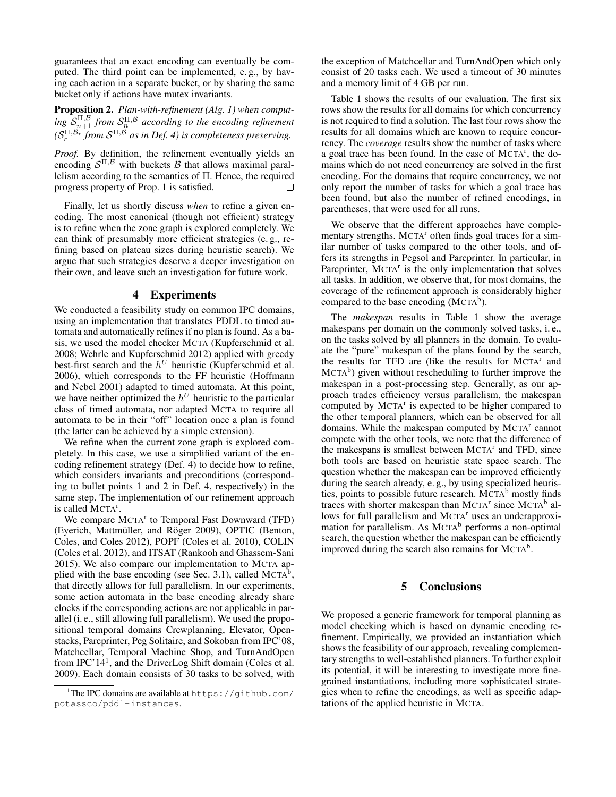guarantees that an exact encoding can eventually be computed. The third point can be implemented, e. g., by having each action in a separate bucket, or by sharing the same bucket only if actions have mutex invariants.

Proposition 2. *Plan-with-refinement (Alg. 1) when comput*ing  $\mathcal{S}_{n+1}^{\Pi,\mathcal{B}}$  *from*  $\mathcal{S}_n^{\Pi,\mathcal{B}}$  according to the encoding refinement  $(S_r^{\Pi,\mathcal{B}_r}$  from  $\mathcal{S}^{\Pi,\mathcal{B}}$  as in Def. 4) is completeness preserving.

*Proof.* By definition, the refinement eventually yields an encoding  $S^{\Pi,\mathcal{B}}$  with buckets  $\mathcal B$  that allows maximal parallelism according to the semantics of Π. Hence, the required progress property of Prop. 1 is satisfied. П

Finally, let us shortly discuss *when* to refine a given encoding. The most canonical (though not efficient) strategy is to refine when the zone graph is explored completely. We can think of presumably more efficient strategies (e. g., refining based on plateau sizes during heuristic search). We argue that such strategies deserve a deeper investigation on their own, and leave such an investigation for future work.

#### 4 Experiments

We conducted a feasibility study on common IPC domains, using an implementation that translates PDDL to timed automata and automatically refines if no plan is found. As a basis, we used the model checker MCTA (Kupferschmid et al. 2008; Wehrle and Kupferschmid 2012) applied with greedy best-first search and the  $h^U$  heuristic (Kupferschmid et al. 2006), which corresponds to the FF heuristic (Hoffmann and Nebel 2001) adapted to timed automata. At this point, we have neither optimized the  $h^U$  heuristic to the particular class of timed automata, nor adapted MCTA to require all automata to be in their "off" location once a plan is found (the latter can be achieved by a simple extension).

We refine when the current zone graph is explored completely. In this case, we use a simplified variant of the encoding refinement strategy (Def. 4) to decide how to refine, which considers invariants and preconditions (corresponding to bullet points 1 and 2 in Def. 4, respectively) in the same step. The implementation of our refinement approach is called MCTA<sup>r</sup>.

We compare MCTA<sup>r</sup> to Temporal Fast Downward (TFD) (Eyerich, Mattmüller, and Röger 2009), OPTIC (Benton, Coles, and Coles 2012), POPF (Coles et al. 2010), COLIN (Coles et al. 2012), and ITSAT (Rankooh and Ghassem-Sani 2015). We also compare our implementation to MCTA applied with the base encoding (see Sec. 3.1), called  $MCTA^b$ , that directly allows for full parallelism. In our experiments, some action automata in the base encoding already share clocks if the corresponding actions are not applicable in parallel (i. e., still allowing full parallelism). We used the propositional temporal domains Crewplanning, Elevator, Openstacks, Parcprinter, Peg Solitaire, and Sokoban from IPC'08, Matchcellar, Temporal Machine Shop, and TurnAndOpen from IPC'14<sup>1</sup>, and the DriverLog Shift domain (Coles et al. 2009). Each domain consists of 30 tasks to be solved, with the exception of Matchcellar and TurnAndOpen which only consist of 20 tasks each. We used a timeout of 30 minutes and a memory limit of 4 GB per run.

Table 1 shows the results of our evaluation. The first six rows show the results for all domains for which concurrency is not required to find a solution. The last four rows show the results for all domains which are known to require concurrency. The *coverage* results show the number of tasks where a goal trace has been found. In the case of MCTA<sup>r</sup>, the domains which do not need concurrency are solved in the first encoding. For the domains that require concurrency, we not only report the number of tasks for which a goal trace has been found, but also the number of refined encodings, in parentheses, that were used for all runs.

We observe that the different approaches have complementary strengths.  $MCTA<sup>r</sup>$  often finds goal traces for a similar number of tasks compared to the other tools, and offers its strengths in Pegsol and Parcprinter. In particular, in Parcprinter, MCTA<sup>r</sup> is the only implementation that solves all tasks. In addition, we observe that, for most domains, the coverage of the refinement approach is considerably higher compared to the base encoding  $(MCTA<sup>b</sup>)$ .

The *makespan* results in Table 1 show the average makespans per domain on the commonly solved tasks, i. e., on the tasks solved by all planners in the domain. To evaluate the "pure" makespan of the plans found by the search, the results for TFD are (like the results for MCTA<sup>r</sup> and MCTA<sup>b</sup>) given without rescheduling to further improve the makespan in a post-processing step. Generally, as our approach trades efficiency versus parallelism, the makespan computed by MCTA<sup>r</sup> is expected to be higher compared to the other temporal planners, which can be observed for all domains. While the makespan computed by MCTA<sup>r</sup> cannot compete with the other tools, we note that the difference of the makespans is smallest between MCTA<sup>r</sup> and TFD, since both tools are based on heuristic state space search. The question whether the makespan can be improved efficiently during the search already, e. g., by using specialized heuristics, points to possible future research.  $MCTA<sup>b</sup>$  mostly finds traces with shorter makespan than MCTA<sup>r</sup> since MCTA<sup>b</sup> allows for full parallelism and  $MCTA<sup>r</sup>$  uses an underapproximation for parallelism. As MCTA<sup>b</sup> performs a non-optimal search, the question whether the makespan can be efficiently improved during the search also remains for  $MCTA<sup>b</sup>$ .

## 5 Conclusions

We proposed a generic framework for temporal planning as model checking which is based on dynamic encoding refinement. Empirically, we provided an instantiation which shows the feasibility of our approach, revealing complementary strengths to well-established planners. To further exploit its potential, it will be interesting to investigate more finegrained instantiations, including more sophisticated strategies when to refine the encodings, as well as specific adaptations of the applied heuristic in MCTA.

<sup>&</sup>lt;sup>1</sup>The IPC domains are available at  $https://github.com/$ potassco/pddl-instances.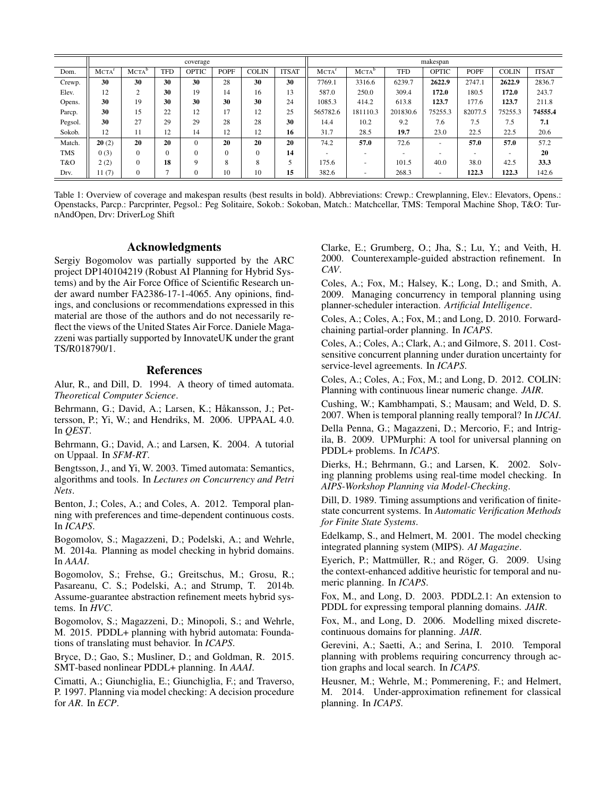|            | coverage    |                   |            |              |             |              |              | makespan          |                   |            |              |             |              |              |
|------------|-------------|-------------------|------------|--------------|-------------|--------------|--------------|-------------------|-------------------|------------|--------------|-------------|--------------|--------------|
| Dom.       | <b>MCTA</b> | MCTA <sup>b</sup> | <b>TFD</b> | <b>OPTIC</b> | <b>POPF</b> | <b>COLIN</b> | <b>ITSAT</b> | MCTA <sup>r</sup> | MCTA <sup>b</sup> | <b>TFD</b> | <b>OPTIC</b> | <b>POPF</b> | <b>COLIN</b> | <b>ITSAT</b> |
| Crewp.     | 30          | 30                | 30         | 30           | 28          | 30           | 30           | 7769.1            | 3316.6            | 6239.7     | 2622.9       | 2747.1      | 2622.9       | 2836.7       |
| Elev.      | 12          | 2                 | 30         | 19           | 14          | 16           | 13           | 587.0             | 250.0             | 309.4      | 172.0        | 180.5       | 172.0        | 243.7        |
| Opens.     | 30          | 19                | 30         | 30           | 30          | 30           | 24           | 1085.3            | 414.2             | 613.8      | 123.7        | 177.6       | 123.7        | 211.8        |
| Parcp.     | 30          | 15                | 22         | 12           | 17          | 12           | 25           | 565782.6          | 181110.3          | 201830.6   | 75255.3      | 82077.5     | 75255.3      | 74555.4      |
| Pegsol.    | 30          | 27                | 29         | 29           | 28          | 28           | 30           | 14.4              | 10.2              | 9.2        | 7.6          | 7.5         | 7.5          | 7.1          |
| Sokob.     | 12          | 11                | 12         | 14           | 12          | 12           | 16           | 31.7              | 28.5              | 19.7       | 23.0         | 22.5        | 22.5         | 20.6         |
| Match.     | 20(2)       | 20                | 20         | $\Omega$     | 20          | 20           | 20           | 74.2              | 57.0              | 72.6       |              | 57.0        | 57.0         | 57.2         |
| <b>TMS</b> | 0(3)        | $\Omega$          | $\Omega$   |              | $\Omega$    | $\Omega$     | 14           |                   |                   |            |              |             |              | 20           |
| T&O        | 2(2)        | $\Omega$          | 18         | $\Omega$     | 8           | 8            | 5            | 175.6             |                   | 101.5      | 40.0         | 38.0        | 42.5         | 33.3         |
| Drv.       | 11(7)       | $\mathbf{0}$      | Ξ          |              | 10          | 10           | 15           | 382.6             |                   | 268.3      |              | 122.3       | 122.3        | 142.6        |

Table 1: Overview of coverage and makespan results (best results in bold). Abbreviations: Crewp.: Crewplanning, Elev.: Elevators, Opens.: Openstacks, Parcp.: Parcprinter, Pegsol.: Peg Solitaire, Sokob.: Sokoban, Match.: Matchcellar, TMS: Temporal Machine Shop, T&O: TurnAndOpen, Drv: DriverLog Shift

# Acknowledgments

Sergiy Bogomolov was partially supported by the ARC project DP140104219 (Robust AI Planning for Hybrid Systems) and by the Air Force Office of Scientific Research under award number FA2386-17-1-4065. Any opinions, findings, and conclusions or recommendations expressed in this material are those of the authors and do not necessarily reflect the views of the United States Air Force. Daniele Magazzeni was partially supported by InnovateUK under the grant TS/R018790/1.

## References

Alur, R., and Dill, D. 1994. A theory of timed automata. *Theoretical Computer Science*.

Behrmann, G.; David, A.; Larsen, K.; Håkansson, J.; Pettersson, P.; Yi, W.; and Hendriks, M. 2006. UPPAAL 4.0. In *QEST*.

Behrmann, G.; David, A.; and Larsen, K. 2004. A tutorial on Uppaal. In *SFM-RT*.

Bengtsson, J., and Yi, W. 2003. Timed automata: Semantics, algorithms and tools. In *Lectures on Concurrency and Petri Nets*.

Benton, J.; Coles, A.; and Coles, A. 2012. Temporal planning with preferences and time-dependent continuous costs. In *ICAPS*.

Bogomolov, S.; Magazzeni, D.; Podelski, A.; and Wehrle, M. 2014a. Planning as model checking in hybrid domains. In *AAAI*.

Bogomolov, S.; Frehse, G.; Greitschus, M.; Grosu, R.; Pasareanu, C. S.; Podelski, A.; and Strump, T. 2014b. Assume-guarantee abstraction refinement meets hybrid systems. In *HVC*.

Bogomolov, S.; Magazzeni, D.; Minopoli, S.; and Wehrle, M. 2015. PDDL+ planning with hybrid automata: Foundations of translating must behavior. In *ICAPS*.

Bryce, D.; Gao, S.; Musliner, D.; and Goldman, R. 2015. SMT-based nonlinear PDDL+ planning. In *AAAI*.

Cimatti, A.; Giunchiglia, E.; Giunchiglia, F.; and Traverso, P. 1997. Planning via model checking: A decision procedure for *AR*. In *ECP*.

Clarke, E.; Grumberg, O.; Jha, S.; Lu, Y.; and Veith, H. 2000. Counterexample-guided abstraction refinement. In *CAV*.

Coles, A.; Fox, M.; Halsey, K.; Long, D.; and Smith, A. 2009. Managing concurrency in temporal planning using planner-scheduler interaction. *Artificial Intelligence*.

Coles, A.; Coles, A.; Fox, M.; and Long, D. 2010. Forwardchaining partial-order planning. In *ICAPS*.

Coles, A.; Coles, A.; Clark, A.; and Gilmore, S. 2011. Costsensitive concurrent planning under duration uncertainty for service-level agreements. In *ICAPS*.

Coles, A.; Coles, A.; Fox, M.; and Long, D. 2012. COLIN: Planning with continuous linear numeric change. *JAIR*.

Cushing, W.; Kambhampati, S.; Mausam; and Weld, D. S. 2007. When is temporal planning really temporal? In *IJCAI*.

Della Penna, G.; Magazzeni, D.; Mercorio, F.; and Intrigila, B. 2009. UPMurphi: A tool for universal planning on PDDL+ problems. In *ICAPS*.

Dierks, H.; Behrmann, G.; and Larsen, K. 2002. Solving planning problems using real-time model checking. In *AIPS-Workshop Planning via Model-Checking*.

Dill, D. 1989. Timing assumptions and verification of finitestate concurrent systems. In *Automatic Verification Methods for Finite State Systems*.

Edelkamp, S., and Helmert, M. 2001. The model checking integrated planning system (MIPS). *AI Magazine*.

Eyerich, P.; Mattmüller, R.; and Röger, G. 2009. Using the context-enhanced additive heuristic for temporal and numeric planning. In *ICAPS*.

Fox, M., and Long, D. 2003. PDDL2.1: An extension to PDDL for expressing temporal planning domains. *JAIR*.

Fox, M., and Long, D. 2006. Modelling mixed discretecontinuous domains for planning. *JAIR*.

Gerevini, A.; Saetti, A.; and Serina, I. 2010. Temporal planning with problems requiring concurrency through action graphs and local search. In *ICAPS*.

Heusner, M.; Wehrle, M.; Pommerening, F.; and Helmert, M. 2014. Under-approximation refinement for classical planning. In *ICAPS*.